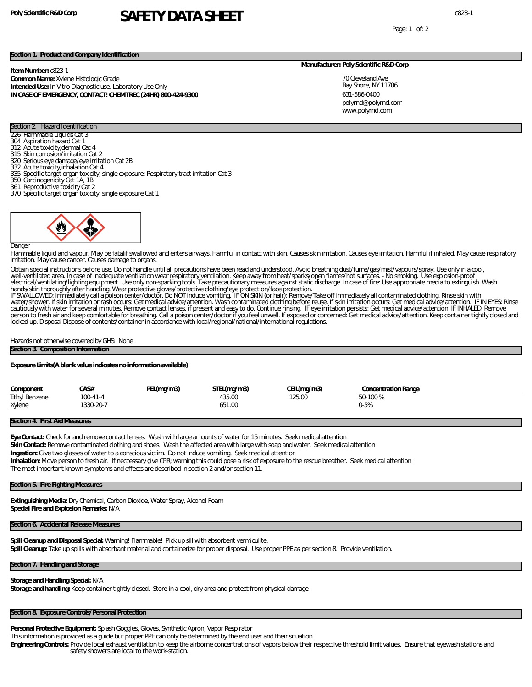## **Poly Scientific R&D Corp** c823-1 **SAFETY DATA SHEET**

Page: 1 of: 2

#### **Section 1. Product and Company Identification**

**Item Number:** c823-1 **Common Name:** Xylene Histologic Grade **Intended Use:** In Vitro Diagnostic use. Laboratory Use Only **IN CASE OF EMERGENCY, CONTACT: CHEMTREC (24HR) 800-424-9300**

#### **Manufacturer: Poly Scientific R&D Corp**

70 Cleveland Ave Bay Shore, NY 11706 631-586-0400 www.polyrnd.com polyrnd@polyrnd.com

#### Section 2. Hazard Identification 226 Flammable Liquids Cat 3

- 304 Aspiration hazard Cat 1
- 312 Acute toxicity,dermal Cat 4
- 315 Skin corrosion/irritation Cat 2
- 320 Serious eye damage/eye irritation Cat 2B 332 Acute toxicity,inhalation Cat 4
- 
- 335 Specific target organ toxicity, single exposure; Respiratory tract irritation Cat 3
- 350 Carcinogenicity Cat 1A, 1B
- 361 Reproductive toxicity Cat 2 370 Specific target organ toxicity, single exposure Cat 1
	-

#### Danger

Flammable liquid and vapour. May be fatalif swallowed and enters airways. Harmful in contact with skin. Causes skin irritation. Causes eye irritation. Harmful if inhaled. May cause respiratory irritation. May cause cancer. Causes damage to organs.

Obtain special instructions before use. Do not handle until all precautions have been read and understood. Avoid breathing dust/fume/gas/mist/vapours/spray. Use only in a cool, well-ventilated area. In case of inadequate ventilation wear respiratory ventilation. Keep away from heat/sparks/open flames/hot surfaces. - No smoking. Use explosion-proof<br>electrical/ventilating/lighting equipment. Use on

cautiously with water for several minutes. Remove contact lenses, if present and easy to do. Continue rinsing. IF eye irritation persists: Get medical advice/attention. IF INHALED: Remove<br>person to fresh air and keep comfo locked up. Disposal Dispose of contents/container in accordance with local/regional/national/international regulations.

#### Hazards not otherwise covered by GHS: None

### **Section 3. Composition Information**

**Exposure Limits(A blank value indicates no information available)**

| Component     | CA S#     | PEL(mq/m3) | STEL(mq/m3) | CEL(mq/m3) | Concentration Range |
|---------------|-----------|------------|-------------|------------|---------------------|
| Ethyl Benzene | $00-41-4$ |            | 435.00      | 125.00     | 50-100%             |
| Xylene        | 1330-20-7 |            | 651.00      |            | $2-5%$              |

#### **Section 4. First Aid Measures**

**Eye Contact:** Check for and remove contact lenses. Wash with large amounts of water for 15 minutes. Seek medical attention. **Skin Contact:** Remove contaminated clothing and shoes. Wash the affected area with large with soap and water. Seek medical attention **Ingestion:** Give two glasses of water to a conscious victim. Do not induce vomiting. Seek medical attention **Inhalation:** Move person to fresh air. If neccessary give CPR; warning this could pose a risk of exposure to the rescue breather. Seek medical attention The most important known symptoms and effects are described in section 2 and/or section 11.

#### **Section 5. Fire Fighting Measures**

**Extinguishing Media:** Dry Chemical, Carbon Dioxide, Water Spray, Alcohol Foam **Special Fire and Explosion Remarks:** N/A

#### **Section 6. Accidental Release Measures**

**Spill Cleanup and Disposal Special:** Warning! Flammable! Pick up sill with absorbent vermiculite. **Spill Cleanup:** Take up spills with absorbant material and containerize for proper disposal. Use proper PPE as per section 8. Provide ventilation.

#### **Section 7. Handling and Storage**

**Storage and Handling Special:** N/A **Storage and handling:** Keep container tightly closed. Store in a cool, dry area and protect from physical damage

#### **Section 8. Exposure Controls/Personal Protection**

**Personal Protective Equipment:** Splash Goggles, Gloves, Synthetic Apron, Vapor Respirator

This information is provided as a guide but proper PPE can only be determined by the end user and their situation.

**Engineering Controls:** Provide local exhaust ventilation to keep the airborne concentrations of vapors below their respective threshold limit values. Ensure that eyewash stations and safety showers are local to the work-station.